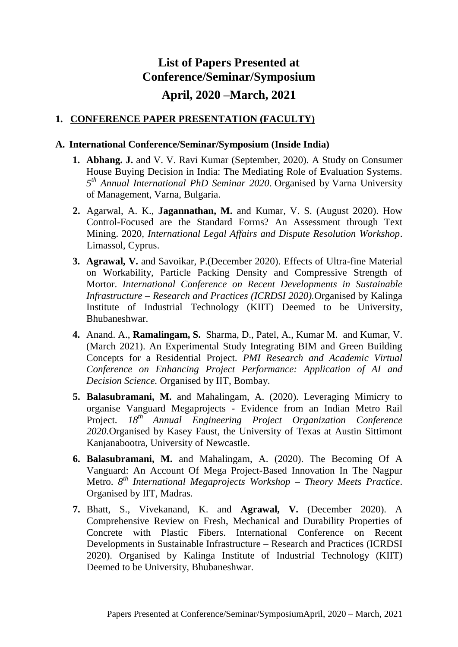## **List of Papers Presented at Conference/Seminar/Symposium April, 2020 –March, 2021**

## **1. CONFERENCE PAPER PRESENTATION (FACULTY)**

## **A. International Conference/Seminar/Symposium (Inside India)**

- **1. Abhang. J.** and V. V. Ravi Kumar (September, 2020). A Study on Consumer House Buying Decision in India: The Mediating Role of Evaluation Systems*.*  5<sup>th</sup> Annual International PhD Seminar 2020. Organised by Varna University of Management, Varna, Bulgaria.
- **2.** Agarwal, A. K., **Jagannathan, M.** and Kumar, V. S. (August 2020). How Control-Focused are the Standard Forms? An Assessment through Text Mining. 2020*, International Legal Affairs and Dispute Resolution Workshop*. Limassol, Cyprus.
- **3. Agrawal, V.** and Savoikar, P.(December 2020). Effects of Ultra-fine Material on Workability, Particle Packing Density and Compressive Strength of Mortor. *International Conference on Recent Developments in Sustainable Infrastructure – Research and Practices (ICRDSI 2020).*Organised by Kalinga Institute of Industrial Technology (KIIT) Deemed to be University, Bhubaneshwar.
- **4.** Anand. A., **Ramalingam, S.** Sharma, D., Patel, A., Kumar M. and Kumar, V. (March 2021). An Experimental Study Integrating BIM and Green Building Concepts for a Residential Project. *PMI Research and Academic Virtual Conference on Enhancing Project Performance: Application of AI and Decision Science.* Organised by IIT, Bombay.
- **5. Balasubramani, M.** and Mahalingam, A. (2020). Leveraging Mimicry to organise Vanguard Megaprojects - Evidence from an Indian Metro Rail Project. *18th Annual Engineering Project Organization Conference 2020.*Organised by Kasey Faust, the University of Texas at Austin Sittimont Kanjanabootra, University of Newcastle.
- **6. Balasubramani, M.** and Mahalingam, A. (2020). The Becoming Of A Vanguard: An Account Of Mega Project-Based Innovation In The Nagpur Metro. *8 th International Megaprojects Workshop – Theory Meets Practice*. Organised by IIT, Madras.
- **7.** Bhatt, S., Vivekanand, K. and **Agrawal, V.** (December 2020). A Comprehensive Review on Fresh, Mechanical and Durability Properties of Concrete with Plastic Fibers. International Conference on Recent Developments in Sustainable Infrastructure – Research and Practices (ICRDSI 2020). Organised by Kalinga Institute of Industrial Technology (KIIT) Deemed to be University, Bhubaneshwar.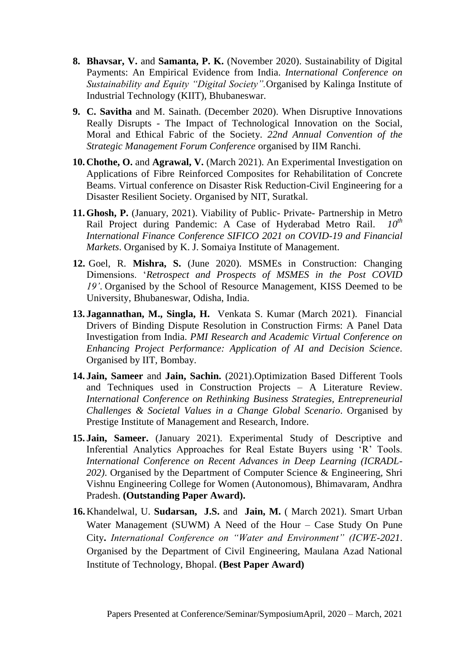- **8. Bhavsar, V.** and **Samanta, P. K.** (November 2020). Sustainability of Digital Payments: An Empirical Evidence from India. *International Conference on Sustainability and Equity "Digital Society".*Organised by Kalinga Institute of Industrial Technology (KIIT), Bhubaneswar.
- **9. C. Savitha** and M. Sainath. (December 2020). When Disruptive Innovations Really Disrupts - The Impact of Technological Innovation on the Social, Moral and Ethical Fabric of the Society. *22nd Annual Convention of the Strategic Management Forum Conference* organised by IIM Ranchi.
- **10.Chothe, O.** and **Agrawal, V.** (March 2021). An Experimental Investigation on Applications of Fibre Reinforced Composites for Rehabilitation of Concrete Beams. Virtual conference on Disaster Risk Reduction-Civil Engineering for a Disaster Resilient Society. Organised by NIT, Suratkal.
- **11.Ghosh, P.** (January, 2021). Viability of Public- Private- Partnership in Metro Rail Project during Pandemic: A Case of Hyderabad Metro Rail. *10th International Finance Conference SIFICO 2021 on COVID-19 and Financial Markets*. Organised by K. J. Somaiya Institute of Management.
- **12.** Goel, R. **Mishra, S.** (June 2020). MSMEs in Construction: Changing Dimensions. '*Retrospect and Prospects of MSMES in the Post COVID 19'*. Organised by the School of Resource Management, KISS Deemed to be University, Bhubaneswar, Odisha, India.
- **13. Jagannathan, M., Singla, H.** Venkata S. Kumar (March 2021). Financial Drivers of Binding Dispute Resolution in Construction Firms: A Panel Data Investigation from India. *PMI Research and Academic Virtual Conference on Enhancing Project Performance: Application of AI and Decision Science.* Organised by IIT, Bombay.
- **14. Jain, Sameer** and **Jain, Sachin.** (2021).Optimization Based Different Tools and Techniques used in Construction Projects – A Literature Review. *International Conference on Rethinking Business Strategies, Entrepreneurial Challenges & Societal Values in a Change Global Scenario*. Organised by Prestige Institute of Management and Research, Indore.
- **15. Jain, Sameer.** (January 2021). Experimental Study of Descriptive and Inferential Analytics Approaches for Real Estate Buyers using 'R' Tools. *International Conference on Recent Advances in Deep Learning (ICRADL-202)*. Organised by the Department of Computer Science & Engineering, Shri Vishnu Engineering College for Women (Autonomous), Bhimavaram, Andhra Pradesh. **(Outstanding Paper Award).**
- **16.**Khandelwal, U. **Sudarsan, J.S.** and **Jain, M.** ( March 2021). Smart Urban Water Management (SUWM) A Need of the Hour – Case Study On Pune City**.** *International Conference on "Water and Environment" (ICWE-2021*. Organised by the Department of Civil Engineering, Maulana Azad National Institute of Technology, Bhopal. **(Best Paper Award)**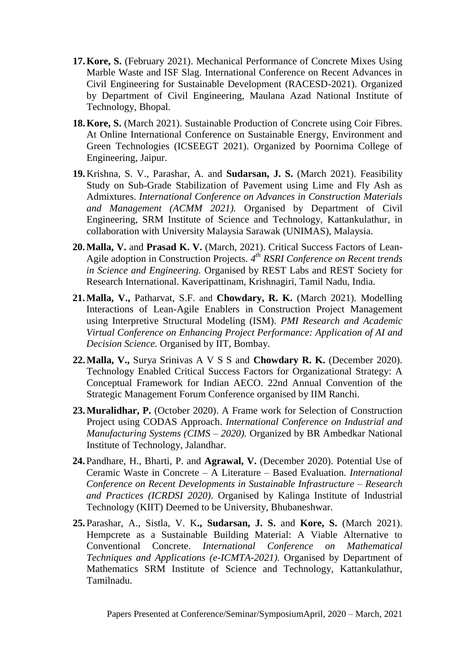- **17.Kore, S.** (February 2021). Mechanical Performance of Concrete Mixes Using Marble Waste and ISF Slag. International Conference on Recent Advances in Civil Engineering for Sustainable Development (RACESD-2021). Organized by Department of Civil Engineering, Maulana Azad National Institute of Technology, Bhopal.
- **18.Kore, S.** (March 2021). Sustainable Production of Concrete using Coir Fibres. At Online International Conference on Sustainable Energy, Environment and Green Technologies (ICSEEGT 2021). Organized by Poornima College of Engineering, Jaipur.
- **19.**Krishna, S. V., Parashar, A. and **Sudarsan, J. S.** (March 2021). Feasibility Study on Sub-Grade Stabilization of Pavement using Lime and Fly Ash as Admixtures. *International Conference on Advances in Construction Materials and Management (ACMM 2021).* Organised by Department of Civil Engineering, SRM Institute of Science and Technology, Kattankulathur, in collaboration with University Malaysia Sarawak (UNIMAS), Malaysia.
- **20.Malla, V.** and **Prasad K. V.** (March, 2021). Critical Success Factors of Lean-Agile adoption in Construction Projects. *4 th RSRI Conference on Recent trends in Science and Engineering.* Organised by REST Labs and REST Society for Research International. Kaveripattinam, Krishnagiri, Tamil Nadu, India.
- **21.Malla, V.,** Patharvat, S.F. and **Chowdary, R. K.** (March 2021). Modelling Interactions of Lean-Agile Enablers in Construction Project Management using Interpretive Structural Modeling (ISM). *PMI Research and Academic Virtual Conference on Enhancing Project Performance: Application of AI and Decision Science.* Organised by IIT, Bombay.
- **22.Malla, V.,** Surya Srinivas A V S S and **Chowdary R. K.** (December 2020). Technology Enabled Critical Success Factors for Organizational Strategy: A Conceptual Framework for Indian AECO. 22nd Annual Convention of the Strategic Management Forum Conference organised by IIM Ranchi.
- **23.Muralidhar, P.** (October 2020). A Frame work for Selection of Construction Project using CODAS Approach. *International Conference on Industrial and Manufacturing Systems (CIMS – 2020).* Organized by BR Ambedkar National Institute of Technology, Jalandhar.
- **24.**Pandhare, H., Bharti, P. and **Agrawal, V.** (December 2020). Potential Use of Ceramic Waste in Concrete – A Literature – Based Evaluation*. International Conference on Recent Developments in Sustainable Infrastructure – Research and Practices (ICRDSI 2020)*. Organised by Kalinga Institute of Industrial Technology (KIIT) Deemed to be University, Bhubaneshwar.
- **25.**Parashar, A., Sistla, V. K**., Sudarsan, J. S.** and **Kore, S.** (March 2021). Hempcrete as a Sustainable Building Material: A Viable Alternative to Conventional Concrete. *International Conference on Mathematical Techniques and Applications (e-ICMTA-2021).* Organised by Department of Mathematics SRM Institute of Science and Technology, Kattankulathur, Tamilnadu.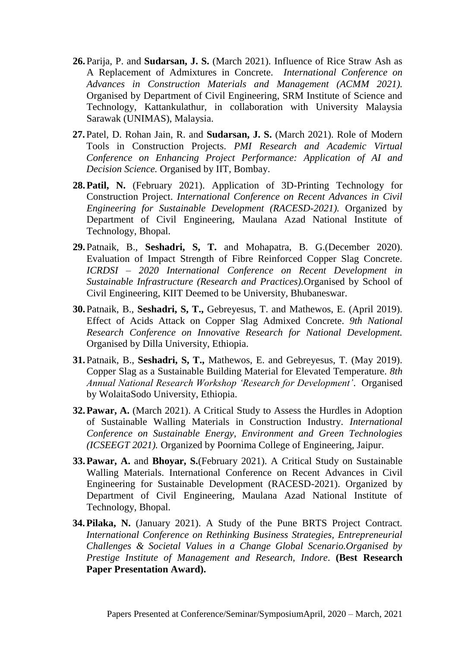- **26.**Parija, P. and **Sudarsan, J. S.** (March 2021). Influence of Rice Straw Ash as A Replacement of Admixtures in Concrete*. International Conference on Advances in Construction Materials and Management (ACMM 2021).* Organised by Department of Civil Engineering, SRM Institute of Science and Technology, Kattankulathur, in collaboration with University Malaysia Sarawak (UNIMAS), Malaysia.
- **27.**Patel, D. Rohan Jain, R. and **Sudarsan, J. S.** (March 2021). Role of Modern Tools in Construction Projects. *PMI Research and Academic Virtual Conference on Enhancing Project Performance: Application of AI and Decision Science.* Organised by IIT, Bombay.
- **28.Patil, N.** (February 2021). Application of 3D-Printing Technology for Construction Project. *International Conference on Recent Advances in Civil Engineering for Sustainable Development (RACESD-2021).* Organized by Department of Civil Engineering, Maulana Azad National Institute of Technology, Bhopal.
- **29.**Patnaik, B., **Seshadri, S, T.** and Mohapatra, B. G.(December 2020). Evaluation of Impact Strength of Fibre Reinforced Copper Slag Concrete. *ICRDSI – 2020 International Conference on Recent Development in Sustainable Infrastructure (Research and Practices).*Organised by School of Civil Engineering, KIIT Deemed to be University, Bhubaneswar.
- **30.**Patnaik, B., **Seshadri, S, T.,** Gebreyesus, T. and Mathewos, E. (April 2019). Effect of Acids Attack on Copper Slag Admixed Concrete. *9th National Research Conference on Innovative Research for National Development.*  Organised by Dilla University, Ethiopia.
- **31.**Patnaik, B., **Seshadri, S, T.,** Mathewos, E. and Gebreyesus, T. (May 2019). Copper Slag as a Sustainable Building Material for Elevated Temperature. *8th Annual National Research Workshop 'Research for Development'*. Organised by WolaitaSodo University, Ethiopia.
- **32.Pawar, A.** (March 2021). A Critical Study to Assess the Hurdles in Adoption of Sustainable Walling Materials in Construction Industry. *International Conference on Sustainable Energy, Environment and Green Technologies (ICSEEGT 2021).* Organized by Poornima College of Engineering, Jaipur.
- **33.Pawar, A.** and **Bhoyar, S.**(February 2021). A Critical Study on Sustainable Walling Materials. International Conference on Recent Advances in Civil Engineering for Sustainable Development (RACESD-2021). Organized by Department of Civil Engineering, Maulana Azad National Institute of Technology, Bhopal.
- **34.Pilaka, N.** (January 2021). A Study of the Pune BRTS Project Contract. *International Conference on Rethinking Business Strategies, Entrepreneurial Challenges & Societal Values in a Change Global Scenario.Organised by Prestige Institute of Management and Research, Indore*. **(Best Research Paper Presentation Award).**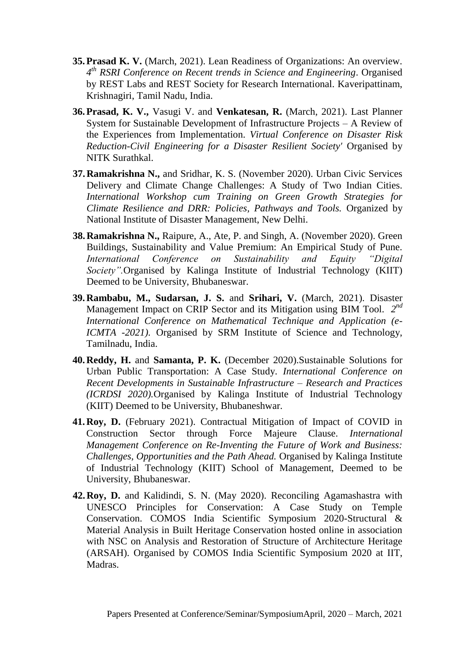- **35.Prasad K. V.** (March, 2021). Lean Readiness of Organizations: An overview. *4 th RSRI Conference on Recent trends in Science and Engineering*. Organised by REST Labs and REST Society for Research International. Kaveripattinam, Krishnagiri, Tamil Nadu, India.
- **36.Prasad, K. V.,** Vasugi V. and **Venkatesan, R.** (March, 2021). Last Planner System for Sustainable Development of Infrastructure Projects – A Review of the Experiences from Implementation. *Virtual Conference on Disaster Risk Reduction-Civil Engineering for a Disaster Resilient Society'* Organised by NITK Surathkal.
- **37.Ramakrishna N.,** and Sridhar, K. S. (November 2020). Urban Civic Services Delivery and Climate Change Challenges: A Study of Two Indian Cities. *International Workshop cum Training on Green Growth Strategies for Climate Resilience and DRR: Policies, Pathways and Tools.* Organized by National Institute of Disaster Management, New Delhi.
- **38.Ramakrishna N.,** Raipure, A., Ate, P. and Singh, A. (November 2020). Green Buildings, Sustainability and Value Premium: An Empirical Study of Pune. *International Conference on Sustainability and Equity "Digital Society".*Organised by Kalinga Institute of Industrial Technology (KIIT) Deemed to be University, Bhubaneswar.
- **39.Rambabu, M., Sudarsan, J. S.** and **Srihari, V.** (March, 2021). Disaster Management Impact on CRIP Sector and its Mitigation using BIM Tool. 2<sup>nd</sup> *International Conference on Mathematical Technique and Application (e-ICMTA -2021).* Organised by SRM Institute of Science and Technology, Tamilnadu, India.
- **40.Reddy, H.** and **Samanta, P. K.** (December 2020).Sustainable Solutions for Urban Public Transportation: A Case Study. *International Conference on Recent Developments in Sustainable Infrastructure – Research and Practices (ICRDSI 2020).*Organised by Kalinga Institute of Industrial Technology (KIIT) Deemed to be University, Bhubaneshwar.
- **41.Roy, D.** (February 2021). Contractual Mitigation of Impact of COVID in Construction Sector through Force Majeure Clause. *International Management Conference on Re-Inventing the Future of Work and Business: Challenges, Opportunities and the Path Ahead.* Organised by Kalinga Institute of Industrial Technology (KIIT) School of Management, Deemed to be University, Bhubaneswar.
- **42.Roy, D.** and Kalidindi, S. N. (May 2020). Reconciling Agamashastra with UNESCO Principles for Conservation: A Case Study on Temple Conservation. COMOS India Scientific Symposium 2020-Structural & Material Analysis in Built Heritage Conservation hosted online in association with NSC on Analysis and Restoration of Structure of Architecture Heritage (ARSAH). Organised by COMOS India Scientific Symposium 2020 at IIT, Madras.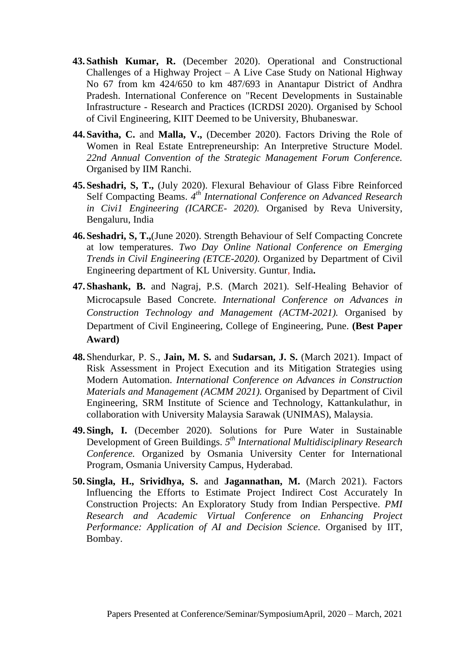- **43.Sathish Kumar, R.** (December 2020). Operational and Constructional Challenges of a Highway Project – A Live Case Study on National Highway No 67 from km 424/650 to km 487/693 in Anantapur District of Andhra Pradesh. International Conference on "Recent Developments in Sustainable Infrastructure - Research and Practices (ICRDSI 2020). Organised by School of Civil Engineering, KIIT Deemed to be University, Bhubaneswar.
- **44.Savitha, C.** and **Malla, V.,** (December 2020). Factors Driving the Role of Women in Real Estate Entrepreneurship: An Interpretive Structure Model. *22nd Annual Convention of the Strategic Management Forum Conference.*  Organised by IIM Ranchi.
- **45.Seshadri, S, T.,** (July 2020). Flexural Behaviour of Glass Fibre Reinforced Self Compacting Beams. 4<sup>th</sup> International Conference on Advanced Research *in Civi1 Engineering (ICARCE- 2020).* Organised by Reva University, Bengaluru, India
- **46.Seshadri, S, T.,**(June 2020). Strength Behaviour of Self Compacting Concrete at low temperatures. *Two Day Online National Conference on Emerging Trends in Civil Engineering (ETCE-2020).* Organized by Department of Civil Engineering department of KL University. Guntur, India**.**
- **47.Shashank, B.** and Nagraj, P.S. (March 2021). Self-Healing Behavior of Microcapsule Based Concrete. *International Conference on Advances in Construction Technology and Management (ACTM-2021).* Organised by Department of Civil Engineering, College of Engineering, Pune. **(Best Paper Award)**
- **48.**Shendurkar, P. S., **Jain, M. S.** and **Sudarsan, J. S.** (March 2021). Impact of Risk Assessment in Project Execution and its Mitigation Strategies using Modern Automation. *International Conference on Advances in Construction Materials and Management (ACMM 2021).* Organised by Department of Civil Engineering, SRM Institute of Science and Technology, Kattankulathur, in collaboration with University Malaysia Sarawak (UNIMAS), Malaysia.
- **49.Singh, I.** (December 2020). Solutions for Pure Water in Sustainable Development of Green Buildings. *5 th International Multidisciplinary Research Conference.* Organized by Osmania University Center for International Program, Osmania University Campus, Hyderabad.
- **50.Singla, H., Srividhya, S.** and **Jagannathan, M.** (March 2021). Factors Influencing the Efforts to Estimate Project Indirect Cost Accurately In Construction Projects: An Exploratory Study from Indian Perspective. *PMI Research and Academic Virtual Conference on Enhancing Project Performance: Application of AI and Decision Science.* Organised by IIT, Bombay.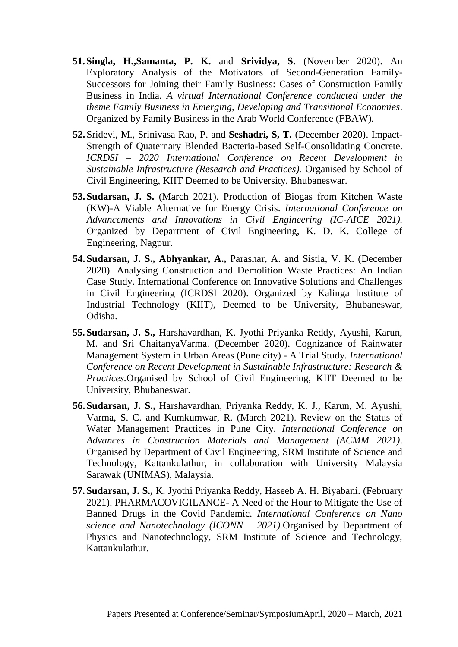- **51.Singla, H.,Samanta, P. K.** and **Srividya, S.** (November 2020). An Exploratory Analysis of the Motivators of Second-Generation Family-Successors for Joining their Family Business: Cases of Construction Family Business in India. *A virtual International Conference conducted under the theme Family Business in Emerging, Developing and Transitional Economies*. Organized by Family Business in the Arab World Conference (FBAW).
- **52.**Sridevi, M., Srinivasa Rao, P. and **Seshadri, S, T.** (December 2020). Impact-Strength of Quaternary Blended Bacteria-based Self-Consolidating Concrete. *ICRDSI – 2020 International Conference on Recent Development in Sustainable Infrastructure (Research and Practices).* Organised by School of Civil Engineering, KIIT Deemed to be University, Bhubaneswar.
- **53.Sudarsan, J. S.** (March 2021). Production of Biogas from Kitchen Waste (KW)-A Viable Alternative for Energy Crisis. *International Conference on Advancements and Innovations in Civil Engineering (IC-AICE 2021).* Organized by Department of Civil Engineering, K. D. K. College of Engineering, Nagpur.
- **54.Sudarsan, J. S., Abhyankar, A.,** Parashar, A. and Sistla, V. K. (December 2020). Analysing Construction and Demolition Waste Practices: An Indian Case Study. International Conference on Innovative Solutions and Challenges in Civil Engineering (ICRDSI 2020). Organized by Kalinga Institute of Industrial Technology (KIIT), Deemed to be University, Bhubaneswar, Odisha.
- **55.Sudarsan, J. S.,** Harshavardhan, K. Jyothi Priyanka Reddy, Ayushi, Karun, M. and Sri ChaitanyaVarma. (December 2020). Cognizance of Rainwater Management System in Urban Areas (Pune city) - A Trial Study*. International Conference on Recent Development in Sustainable Infrastructure: Research & Practices.*Organised by School of Civil Engineering, KIIT Deemed to be University, Bhubaneswar.
- **56.Sudarsan, J. S.,** Harshavardhan, Priyanka Reddy, K. J., Karun, M. Ayushi, Varma, S. C. and Kumkumwar, R. (March 2021). Review on the Status of Water Management Practices in Pune City. *International Conference on Advances in Construction Materials and Management (ACMM 2021)*. Organised by Department of Civil Engineering, SRM Institute of Science and Technology, Kattankulathur, in collaboration with University Malaysia Sarawak (UNIMAS), Malaysia.
- **57.Sudarsan, J. S.,** K. Jyothi Priyanka Reddy, Haseeb A. H. Biyabani. (February 2021). PHARMACOVIGILANCE- A Need of the Hour to Mitigate the Use of Banned Drugs in the Covid Pandemic. *International Conference on Nano science and Nanotechnology (ICONN – 2021).*Organised by Department of Physics and Nanotechnology, SRM Institute of Science and Technology, Kattankulathur.